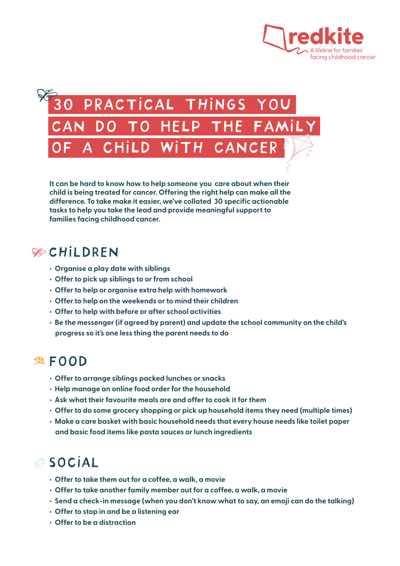

# PRACTICAL THINGS YOU can do to help the family A CHILD WITH CANCER

**It can be hard to know how to help someone you care about when their child is being treated for cancer. Offering the right help can make all the difference. To take make it easier, we've collated 30 specific actionable tasks to help you take the lead and provide meaningful support to families facing childhood cancer.**

### **SECHILDREN**

- **Organise a play date with siblings**
- **Offer to pick up siblings to or from school**
- **Offer to help or organise extra help with homework**
- **Offer to help on the weekends or to mind their children**
- **Offer to help with before or after school activities**
- **Be the messenger (if agreed by parent) and update the school community on the child's progress so it's one less thing the parent needs to do**

### **逃**FOOD

- **Offer to arrange siblings packed lunches or snacks**
- **Help manage an online food order for the household**
- **Ask what their favourite meals are and offer to cook it for them**
- **Offer to do some grocery shopping or pick up household items they need (multiple times)**
- **Make a care basket with basic household needs that every house needs like toilet paper and basic food items like pasta sauces or lunch ingredients**

## **& SOCIAL**

- **Offer to take them out for a coffee, a walk, a movie**
- **Offer to take another family member out for a coffee, a walk, a movie**
- **Send a check-in message (when you don't know what to say, an emoji can do the talking)**
- **Offer to stop in and be a listening ear**
- **Offer to be a distraction**